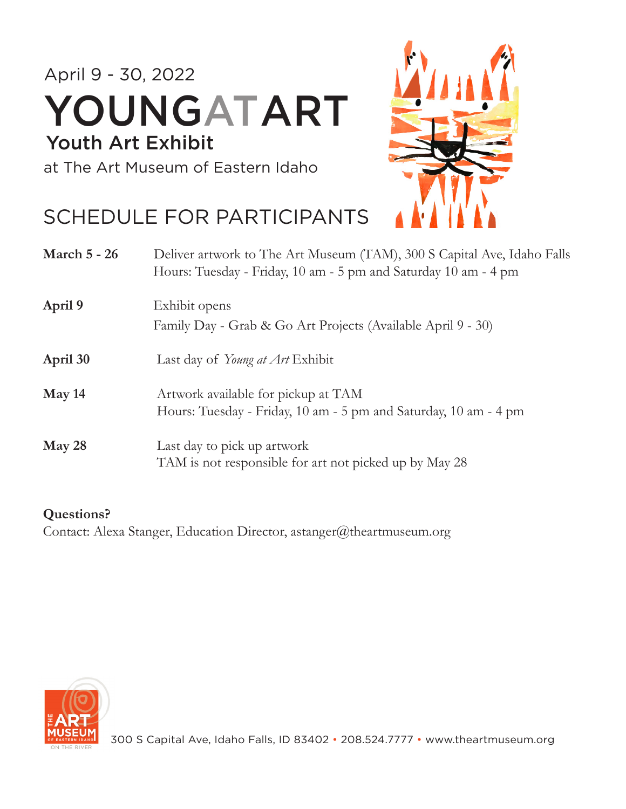### April 9 - 30, 2022 Youth Art Exhibit YOUNGATART

at The Art Museum of Eastern Idaho

### SCHEDULE FOR PARTICIPANTS



| <b>March 5 - 26</b> | Deliver artwork to The Art Museum (TAM), 300 S Capital Ave, Idaho Falls<br>Hours: Tuesday - Friday, 10 am - 5 pm and Saturday 10 am - 4 pm |
|---------------------|--------------------------------------------------------------------------------------------------------------------------------------------|
| April 9             | Exhibit opens                                                                                                                              |
|                     | Family Day - Grab & Go Art Projects (Available April 9 - 30)                                                                               |
| April 30            | Last day of Young at Art Exhibit                                                                                                           |
| May 14              | Artwork available for pickup at TAM                                                                                                        |
|                     | Hours: Tuesday - Friday, 10 am - 5 pm and Saturday, 10 am - 4 pm                                                                           |
| May 28              | Last day to pick up artwork                                                                                                                |
|                     | TAM is not responsible for art not picked up by May 28                                                                                     |

#### **Questions?**

Contact: Alexa Stanger, Education Director, astanger@theartmuseum.org

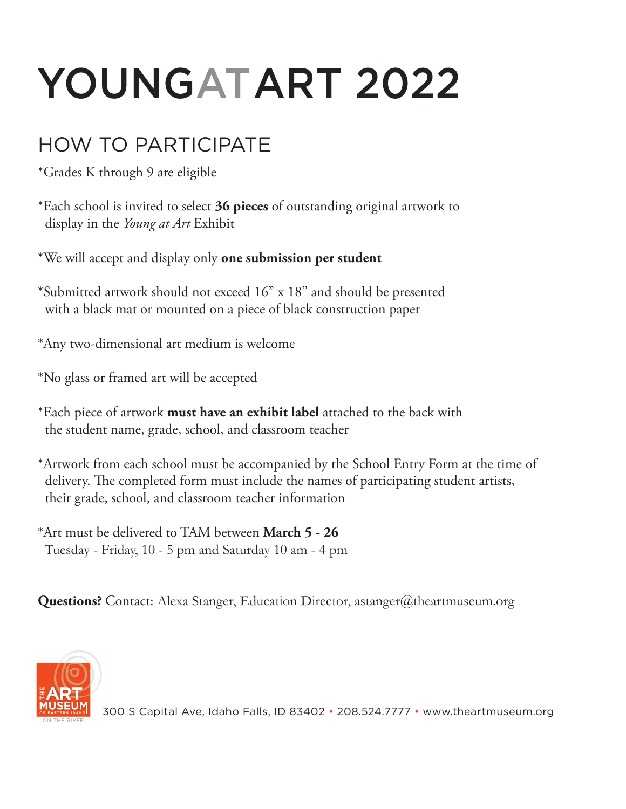# YOUNGATART 2022

### HOW TO PARTICIPATE

\*Grades K through 9 are eligible

\*Each school is invited to select **36 pieces** of outstanding original artwork to display in the *Young at Art* Exhibit

\*We will accept and display only **one submission per student**

- \*Submitted artwork should not exceed 16" x 18" and should be presented with a black mat or mounted on a piece of black construction paper
- \*Any two-dimensional art medium is welcome
- \*No glass or framed art will be accepted
- \*Each piece of artwork **must have an exhibit label** attached to the back with the student name, grade, school, and classroom teacher
- \*Artwork from each school must be accompanied by the School Entry Form at the time of delivery. The completed form must include the names of participating student artists, their grade, school, and classroom teacher information
- \*Art must be delivered to TAM between **March 5 26** Tuesday - Friday, 10 - 5 pm and Saturday 10 am - 4 pm

**Questions?** Contact: Alexa Stanger, Education Director, astanger@theartmuseum.org



300 S Capital Ave, Idaho Falls, ID 83402 · 208.524.7777 · www.theartmuseum.org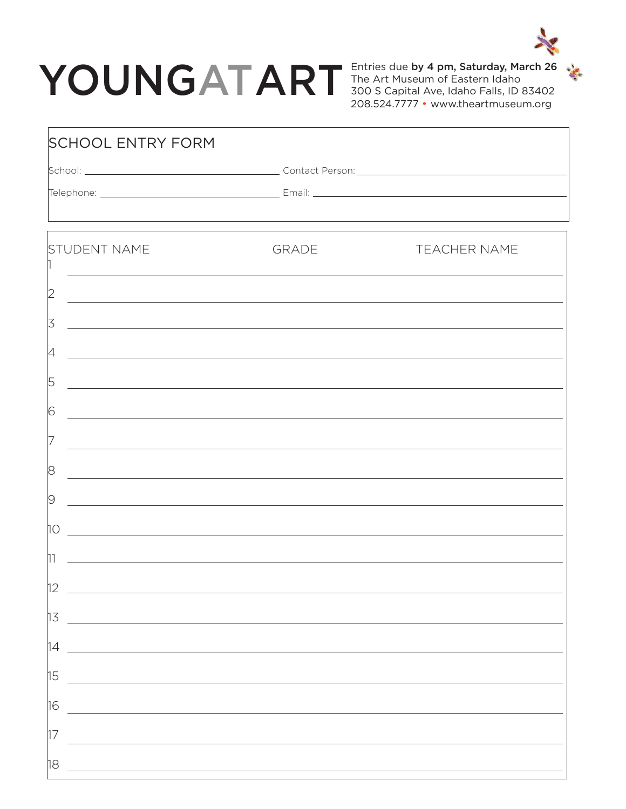## YOUNGATART

Entries due by 4 pm, Saturday, March 26 The Art Museum of Eastern Idaho 300 S Capital Ave, Idaho Falls, ID 83402 208.524.7777 • www.theartmuseum.org

|                                                                                                                       | ,我们也不能在这里的时候,我们也不能在这里的时候,我们也不能会在这里的时候,我们也不能会在这里的时候,我们也不能会在这里的时候,我们也不能会在这里的时候,我们也不 |
|-----------------------------------------------------------------------------------------------------------------------|-----------------------------------------------------------------------------------|
| <b>GRADE</b>                                                                                                          | <b>TEACHER NAME</b>                                                               |
| <u> 1989 - Johann Stoff, amerikansk politiker (d. 1989)</u>                                                           |                                                                                   |
| <u> 1989 - Johann John Stone, meny dia manana araka kalendar di kacamatan di Indonesia. Ia ke sebagai ke sebagai</u>  |                                                                                   |
| <u> 1989 - Johann Stoff, amerikansk politiker (d. 1989)</u>                                                           |                                                                                   |
| <u> 1989 - Johann Stoff, amerikansk politiker (d. 1989)</u>                                                           |                                                                                   |
| <u> 1989 - Johann Stoff, amerikansk politiker (d. 1989)</u>                                                           |                                                                                   |
|                                                                                                                       |                                                                                   |
|                                                                                                                       | ,我们也不会有什么。""我们的人,我们也不会有什么?""我们的人,我们也不会有什么?""我们的人,我们也不会有什么?""我们的人,我们也不会有什么?""我们的人  |
| <u> 1989 - John Stone, amerikansk politiker (d. 1989)</u>                                                             |                                                                                   |
| <u> 1989 - Johann Stein, fransk politiker (d. 1989)</u>                                                               |                                                                                   |
| <u> 1989 - Johann Stoff, deutscher Stoffen und der Stoffen und der Stoffen und der Stoffen und der Stoffen und de</u> |                                                                                   |
|                                                                                                                       |                                                                                   |
|                                                                                                                       |                                                                                   |
|                                                                                                                       |                                                                                   |
|                                                                                                                       |                                                                                   |
|                                                                                                                       |                                                                                   |
|                                                                                                                       |                                                                                   |
|                                                                                                                       |                                                                                   |
|                                                                                                                       |                                                                                   |

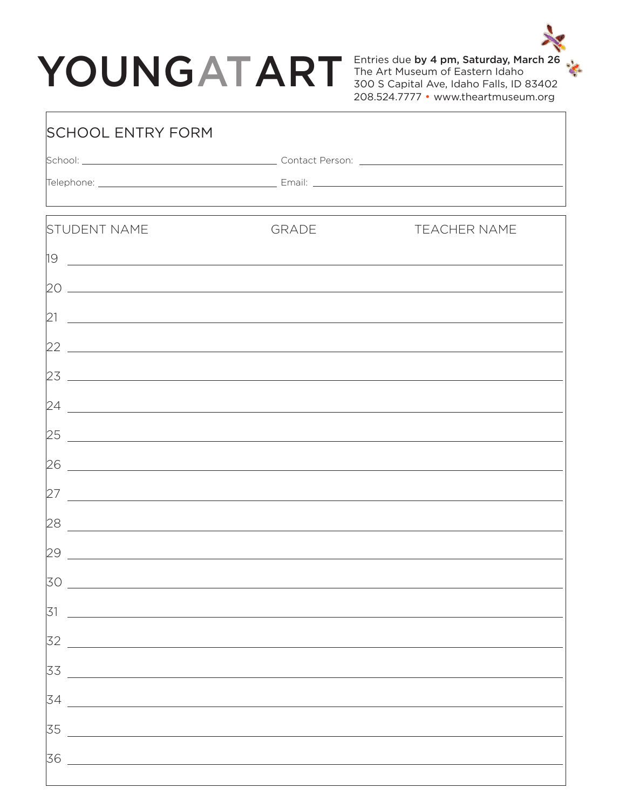## YOUNGATART FINE Art Museum of Eastern Idaho **Salurday**, March 26

Г

Entries due by 4 pm, Saturday, March 26 The Art Museum of Eastern Idaho 208.524.7777 • www.theartmuseum.org

| <b>SCHOOL ENTRY FORM</b>                                                                                                     |              |                     |  |
|------------------------------------------------------------------------------------------------------------------------------|--------------|---------------------|--|
|                                                                                                                              |              |                     |  |
|                                                                                                                              |              |                     |  |
|                                                                                                                              |              |                     |  |
| <b>STUDENT NAME</b>                                                                                                          | <b>GRADE</b> | <b>TEACHER NAME</b> |  |
| 19                                                                                                                           |              |                     |  |
|                                                                                                                              |              |                     |  |
| 21 <br><u> 1989 - Johann Harry Harry Harry Harry Harry Harry Harry Harry Harry Harry Harry Harry Harry Harry Harry Harry</u> |              |                     |  |
|                                                                                                                              |              |                     |  |
| 23<br><u> 1989 - Johann Stoff, deutscher Stoffen und der Stoffen und der Stoffen und der Stoffen und der Stoffen und der</u> |              |                     |  |
| 24<br><u> 1989 - Jan Sterlinger, fransk politiker (d. 1989)</u>                                                              |              |                     |  |
| 25<br><u> 1980 - Johann Stoff, deutscher Stoff, der Stoff, der Stoff, der Stoff, der Stoff, der Stoff, der Stoff, der S</u>  |              |                     |  |
| 26<br><u> 1989 - Johann Barn, amerikansk politiker (d. 1989)</u>                                                             |              |                     |  |
| 27<br><u> 1989 - Jan Samuel Barbara, margaret eta idazlea (h. 1989).</u><br>1900 - Johann Stone, italiar idazlea (h. 1900).  |              |                     |  |
| 28                                                                                                                           |              |                     |  |
| 29<br>and the control of the control of the control of the control of the control of the control of the control of the       |              |                     |  |
| 30                                                                                                                           |              |                     |  |
| 31                                                                                                                           |              |                     |  |
| 32                                                                                                                           |              |                     |  |
| 33                                                                                                                           |              |                     |  |
| 34                                                                                                                           |              |                     |  |
| 35                                                                                                                           |              |                     |  |
|                                                                                                                              |              |                     |  |